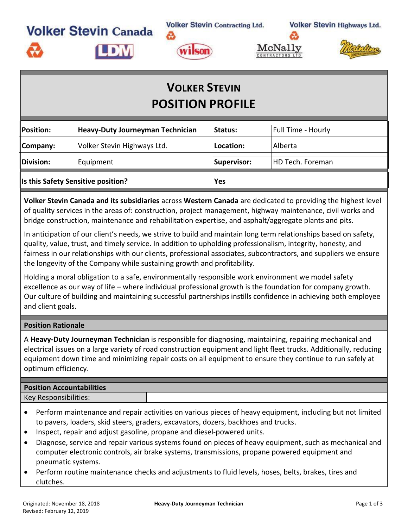**Volker Stevin Contracting Ltd. Volker Stevin Canada** 

A

**Volker Stevin Highways Ltd.** 





# **VOLKER STEVIN POSITION PROFILE**

| Position:                          | Heavy-Duty Journeyman Technician | <b>Status:</b>   | <b>Full Time - Hourly</b> |
|------------------------------------|----------------------------------|------------------|---------------------------|
| Company:                           | Volker Stevin Highways Ltd.      | <b>Location:</b> | Alberta                   |
| $\ $ Division:                     | Equipment                        | Supervisor:      | HD Tech. Foreman          |
| Is this Safety Sensitive position? |                                  | Yes              |                           |

**Volker Stevin Canada and its subsidiaries** across **Western Canada** are dedicated to providing the highest level of quality services in the areas of: construction, project management, highway maintenance, civil works and bridge construction, maintenance and rehabilitation expertise, and asphalt/aggregate plants and pits.

In anticipation of our client's needs, we strive to build and maintain long term relationships based on safety, quality, value, trust, and timely service. In addition to upholding professionalism, integrity, honesty, and fairness in our relationships with our clients, professional associates, subcontractors, and suppliers we ensure the longevity of the Company while sustaining growth and profitability.

Holding a moral obligation to a safe, environmentally responsible work environment we model safety excellence as our way of life – where individual professional growth is the foundation for company growth. Our culture of building and maintaining successful partnerships instills confidence in achieving both employee and client goals.

#### **Position Rationale**

A **Heavy-Duty Journeyman Technician** is responsible for diagnosing, maintaining, repairing mechanical and electrical issues on a large variety of road construction equipment and light fleet trucks. Additionally, reducing equipment down time and minimizing repair costs on all equipment to ensure they continue to run safely at optimum efficiency.

## **Position Accountabilities** Key Responsibilities:

- Perform maintenance and repair activities on various pieces of heavy equipment, including but not limited to pavers, loaders, skid steers, graders, excavators, dozers, backhoes and trucks.
- Inspect, repair and adjust gasoline, propane and diesel-powered units.
- Diagnose, service and repair various systems found on pieces of heavy equipment, such as mechanical and computer electronic controls, air brake systems, transmissions, propane powered equipment and pneumatic systems.
- Perform routine maintenance checks and adjustments to fluid levels, hoses, belts, brakes, tires and clutches.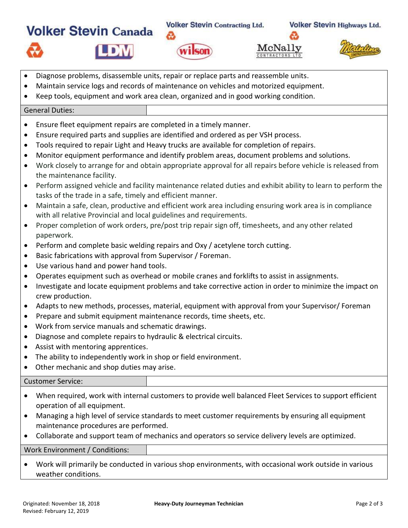

 $w_i$ sor

**Volker Stevin Highways Ltd.** 





- Diagnose problems, disassemble units, repair or replace parts and reassemble units.
- Maintain service logs and records of maintenance on vehicles and motorized equipment.
- Keep tools, equipment and work area clean, organized and in good working condition.

### General Duties:

- Ensure fleet equipment repairs are completed in a timely manner.
- Ensure required parts and supplies are identified and ordered as per VSH process.
- Tools required to repair Light and Heavy trucks are available for completion of repairs.
- Monitor equipment performance and identify problem areas, document problems and solutions.
- Work closely to arrange for and obtain appropriate approval for all repairs before vehicle is released from the maintenance facility.
- Perform assigned vehicle and facility maintenance related duties and exhibit ability to learn to perform the tasks of the trade in a safe, timely and efficient manner.
- Maintain a safe, clean, productive and efficient work area including ensuring work area is in compliance with all relative Provincial and local guidelines and requirements.
- Proper completion of work orders, pre/post trip repair sign off, timesheets, and any other related paperwork.
- Perform and complete basic welding repairs and Oxy / acetylene torch cutting.
- Basic fabrications with approval from Supervisor / Foreman.
- Use various hand and power hand tools.

**Volker Stevin Canada** 

- Operates equipment such as overhead or mobile cranes and forklifts to assist in assignments.
- Investigate and locate equipment problems and take corrective action in order to minimize the impact on crew production.
- Adapts to new methods, processes, material, equipment with approval from your Supervisor/ Foreman
- Prepare and submit equipment maintenance records, time sheets, etc.
- Work from service manuals and schematic drawings.
- Diagnose and complete repairs to hydraulic & electrical circuits.
- Assist with mentoring apprentices.
- The ability to independently work in shop or field environment.
- Other mechanic and shop duties may arise.

### Customer Service:

- When required, work with internal customers to provide well balanced Fleet Services to support efficient operation of all equipment.
- Managing a high level of service standards to meet customer requirements by ensuring all equipment maintenance procedures are performed.
- Collaborate and support team of mechanics and operators so service delivery levels are optimized.

Work Environment / Conditions:

• Work will primarily be conducted in various shop environments, with occasional work outside in various weather conditions.